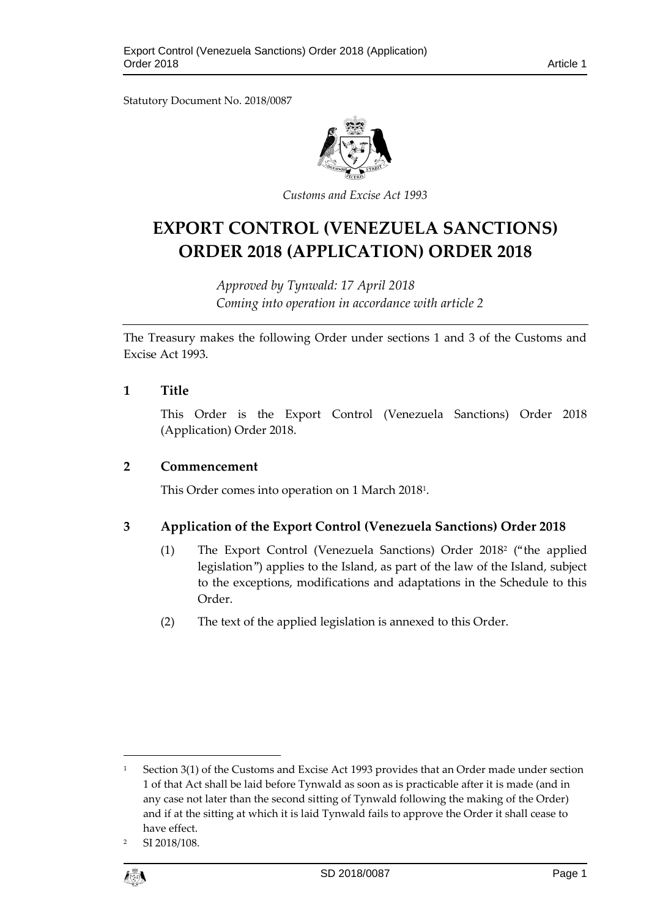Statutory Document No. 2018/0087



*Customs and Excise Act 1993*

# **EXPORT CONTROL (VENEZUELA SANCTIONS) ORDER 2018 (APPLICATION) ORDER 2018**

*Approved by Tynwald: 17 April 2018 Coming into operation in accordance with article 2*

The Treasury makes the following Order under sections 1 and 3 of the Customs and Excise Act 1993.

# **1 Title**

This Order is the Export Control (Venezuela Sanctions) Order 2018 (Application) Order 2018.

## **2 Commencement**

This Order comes into operation on 1 March 2018<sup>1</sup> .

# **3 Application of the Export Control (Venezuela Sanctions) Order 2018**

- (1) The Export Control (Venezuela Sanctions) Order 2018<sup>2</sup> ("the applied legislation") applies to the Island, as part of the law of the Island, subject to the exceptions, modifications and adaptations in the Schedule to this Order.
- (2) The text of the applied legislation is annexed to this Order.

SI 2018/108.



 $\overline{a}$ 

<sup>&</sup>lt;sup>1</sup> Section 3(1) of the Customs and Excise Act 1993 provides that an Order made under section 1 of that Act shall be laid before Tynwald as soon as is practicable after it is made (and in any case not later than the second sitting of Tynwald following the making of the Order) and if at the sitting at which it is laid Tynwald fails to approve the Order it shall cease to have effect.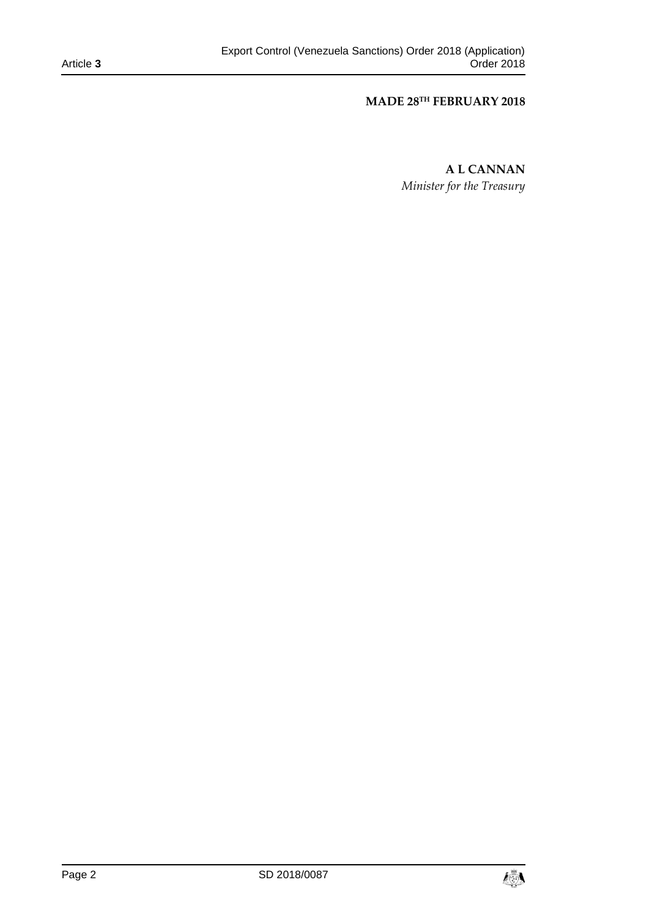## **MADE 28TH FEBRUARY 2018**

**A L CANNAN** *Minister for the Treasury*

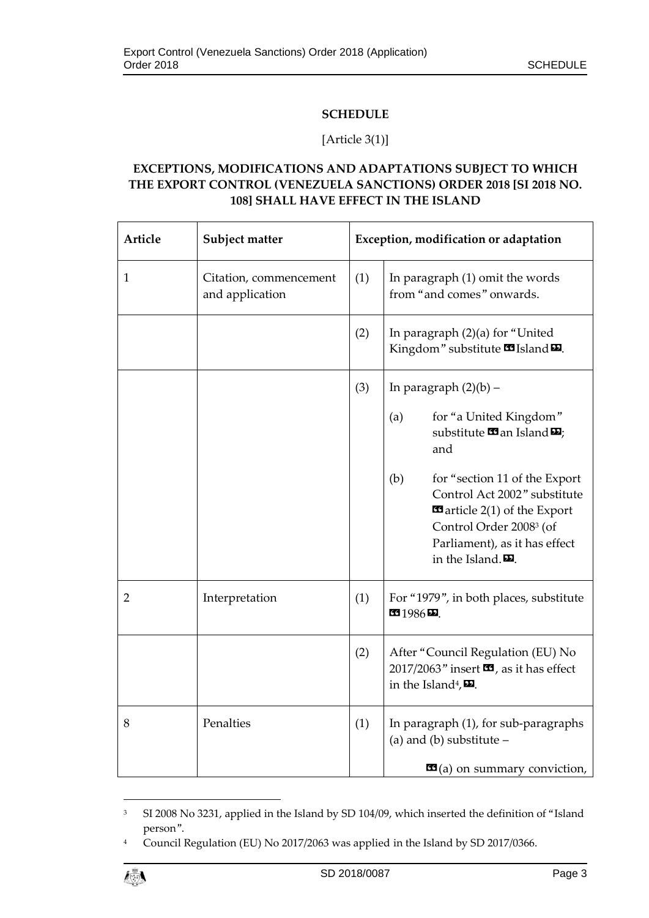# **SCHEDULE**

## [Article 3(1)]

# **EXCEPTIONS, MODIFICATIONS AND ADAPTATIONS SUBJECT TO WHICH THE EXPORT CONTROL (VENEZUELA SANCTIONS) ORDER 2018 [SI 2018 NO. 108] SHALL HAVE EFFECT IN THE ISLAND**

| Article        | Subject matter                            |     | Exception, modification or adaptation                                                                                                                                                                                                    |
|----------------|-------------------------------------------|-----|------------------------------------------------------------------------------------------------------------------------------------------------------------------------------------------------------------------------------------------|
| 1              | Citation, commencement<br>and application | (1) | In paragraph (1) omit the words<br>from "and comes" onwards.                                                                                                                                                                             |
|                |                                           | (2) | In paragraph (2)(a) for "United<br>Kingdom" substitute <b>15</b> Island <b>D</b> .                                                                                                                                                       |
|                |                                           | (3) | In paragraph $(2)(b)$ –                                                                                                                                                                                                                  |
|                |                                           |     | for "a United Kingdom"<br>(a)<br>substitute $\mathbf{\Omega}$ an Island $\mathbf{\Omega}$ ;<br>and                                                                                                                                       |
|                |                                           |     | (b)<br>for "section 11 of the Export"<br>Control Act 2002" substitute<br>$\blacksquare$ article 2(1) of the Export<br>Control Order 2008 <sup>3</sup> (of<br>Parliament), as it has effect<br>in the Island. $\boldsymbol{\mathsf{E}}$ . |
| $\overline{2}$ | Interpretation                            | (1) | For "1979", in both places, substitute<br>6936D                                                                                                                                                                                          |
|                |                                           | (2) | After "Council Regulation (EU) No<br>2017/2063" insert $\blacksquare$ , as it has effect<br>in the Island <sup>4</sup> , $\mathbf{\Sigma}$ .                                                                                             |
| 8              | Penalties                                 | (1) | In paragraph (1), for sub-paragraphs<br>(a) and (b) substitute $-$                                                                                                                                                                       |
|                |                                           |     | $\mathbf{G}(a)$ on summary conviction,                                                                                                                                                                                                   |

<sup>&</sup>lt;sup>3</sup> SI 2008 No 3231, applied in the Island by SD 104/09, which inserted the definition of "Island person".

<sup>&</sup>lt;sup>4</sup> Council Regulation (EU) No 2017/2063 was applied in the Island by SD 2017/0366.



1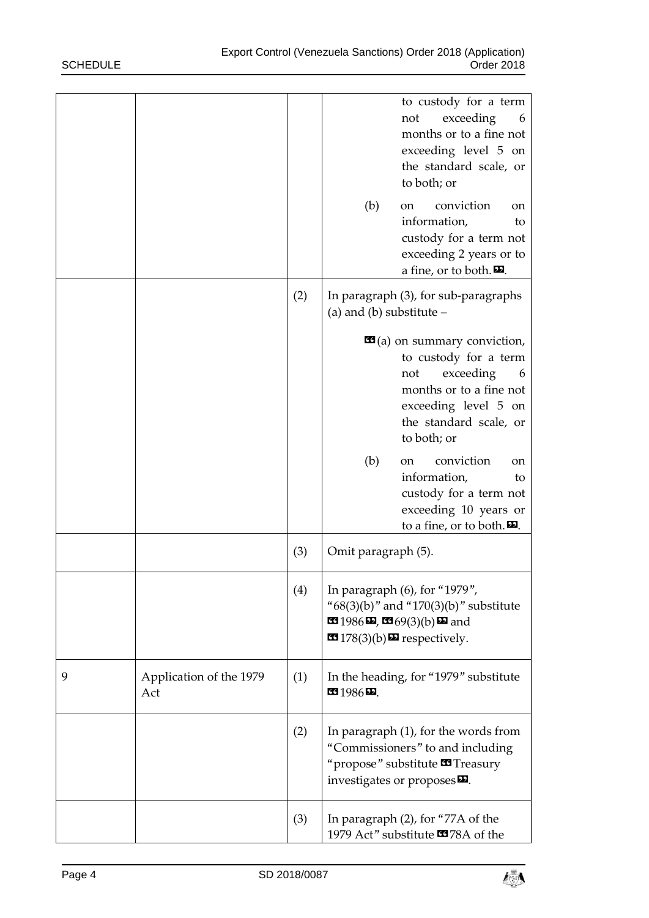|   |                                |     | to custody for a term<br>exceeding<br>not<br>6<br>months or to a fine not<br>exceeding level 5 on<br>the standard scale, or<br>to both; or                                                              |
|---|--------------------------------|-----|---------------------------------------------------------------------------------------------------------------------------------------------------------------------------------------------------------|
|   |                                |     | (b)<br>conviction<br>on<br><sub>on</sub><br>information,<br>to<br>custody for a term not<br>exceeding 2 years or to<br>a fine, or to both. $\mathbf{\mathbf{\Sigma}}$ .                                 |
|   |                                | (2) | In paragraph (3), for sub-paragraphs<br>(a) and (b) substitute $-$                                                                                                                                      |
|   |                                |     | $\mathbf{G}(a)$ on summary conviction,<br>to custody for a term<br>exceeding<br>not<br>6<br>months or to a fine not<br>exceeding level 5 on<br>the standard scale, or<br>to both; or                    |
|   |                                |     | conviction<br>(b)<br>on<br><sub>on</sub><br>information,<br>to<br>custody for a term not<br>exceeding 10 years or<br>to a fine, or to both.                                                             |
|   |                                | (3) | Omit paragraph (5).                                                                                                                                                                                     |
|   |                                | (4) | In paragraph (6), for "1979",<br>" $68(3)(b)$ " and " $170(3)(b)$ " substitute<br>$1986$ $\overline{2}$ , $\overline{2}$ $69(3)(b)$ $\overline{2}$ and<br><b>EX</b> $178(3)(b)$ <b>Ex</b> respectively. |
| 9 | Application of the 1979<br>Act | (1) | In the heading, for "1979" substitute<br>$1986D$ .                                                                                                                                                      |
|   |                                | (2) | In paragraph $(1)$ , for the words from<br>"Commissioners" to and including<br>"propose" substitute <b>33</b> Treasury<br>investigates or proposes D.                                                   |
|   |                                | (3) | In paragraph (2), for "77A of the<br>1979 Act" substitute <b>33</b> 78A of the                                                                                                                          |

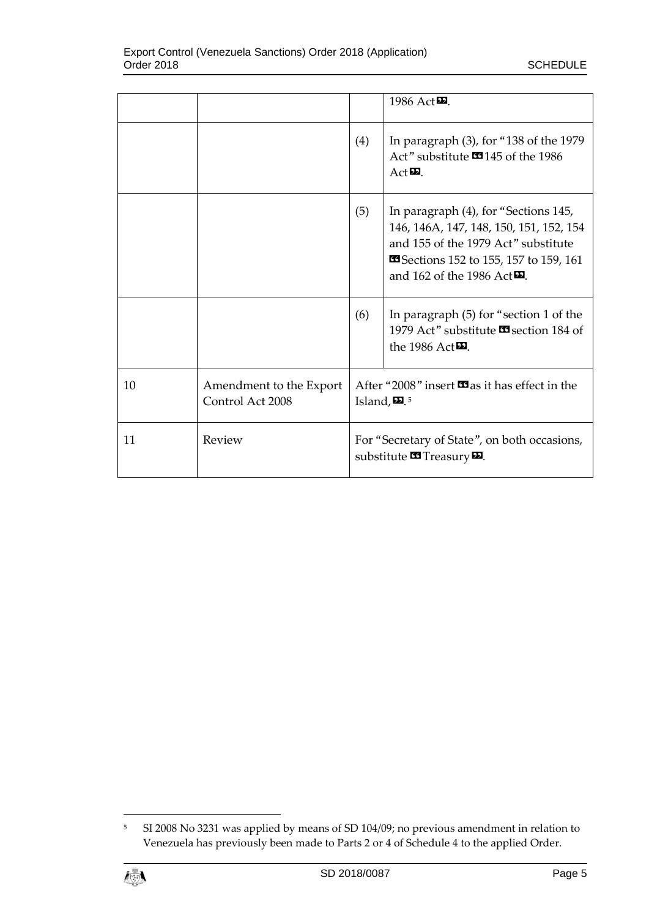|    |                                             |                                                                                                     | 1986 Act $\mathbf{E}$ .                                                                                                                                                                                  |
|----|---------------------------------------------|-----------------------------------------------------------------------------------------------------|----------------------------------------------------------------------------------------------------------------------------------------------------------------------------------------------------------|
|    |                                             | (4)                                                                                                 | In paragraph $(3)$ , for "138 of the 1979<br>Act" substitute <b>145</b> of the 1986<br>$Act\blacksquare$                                                                                                 |
|    |                                             | (5)                                                                                                 | In paragraph (4), for "Sections 145,<br>146, 146A, 147, 148, 150, 151, 152, 154<br>and 155 of the 1979 Act" substitute<br>Sections 152 to 155, 157 to 159, 161<br>and 162 of the 1986 Act <sup>D</sup> . |
|    |                                             | (6)                                                                                                 | In paragraph (5) for "section 1 of the<br>1979 Act" substitute <b>33</b> section 184 of<br>the 1986 Act $\Xi$ .                                                                                          |
| 10 | Amendment to the Export<br>Control Act 2008 | After "2008" insert <b>33</b> as it has effect in the<br>Island, $\mathbf{E}$ . <sup>5</sup>        |                                                                                                                                                                                                          |
| 11 | Review                                      | For "Secretary of State", on both occasions,<br>substitute $\blacksquare$ Treasury $\blacksquare$ . |                                                                                                                                                                                                          |

<sup>5</sup> SI 2008 No 3231 was applied by means of SD 104/09; no previous amendment in relation to Venezuela has previously been made to Parts 2 or 4 of Schedule 4 to the applied Order.



 $\overline{a}$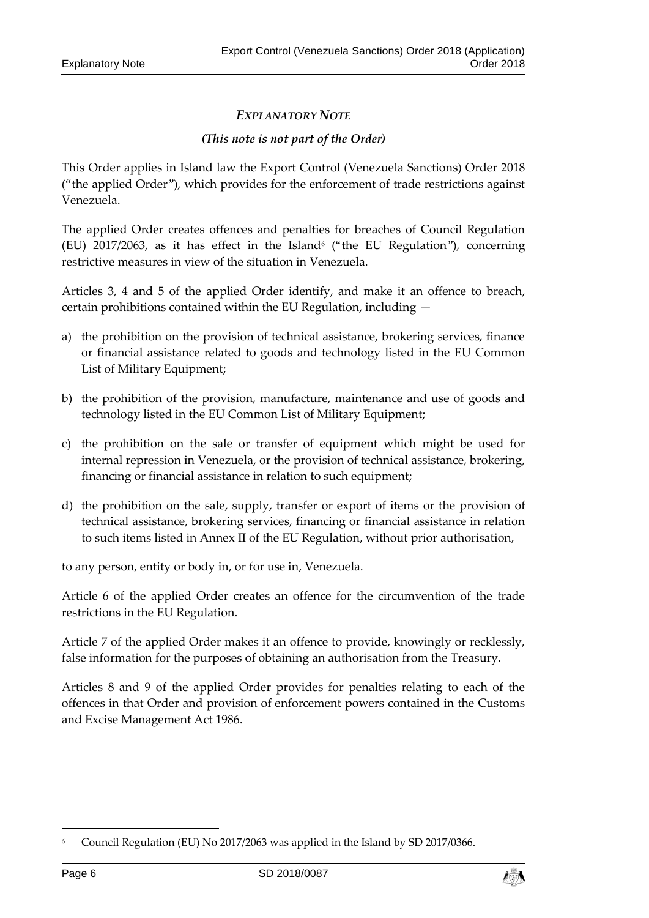# *EXPLANATORY NOTE*

## *(This note is not part of the Order)*

This Order applies in Island law the Export Control (Venezuela Sanctions) Order 2018 ("the applied Order"), which provides for the enforcement of trade restrictions against Venezuela.

The applied Order creates offences and penalties for breaches of Council Regulation (EU)  $2017/2063$ , as it has effect in the Island<sup>6</sup> ("the EU Regulation"), concerning restrictive measures in view of the situation in Venezuela.

Articles 3, 4 and 5 of the applied Order identify, and make it an offence to breach, certain prohibitions contained within the EU Regulation, including —

- a) the prohibition on the provision of technical assistance, brokering services, finance or financial assistance related to goods and technology listed in the EU Common List of Military Equipment;
- b) the prohibition of the provision, manufacture, maintenance and use of goods and technology listed in the EU Common List of Military Equipment;
- c) the prohibition on the sale or transfer of equipment which might be used for internal repression in Venezuela, or the provision of technical assistance, brokering, financing or financial assistance in relation to such equipment;
- d) the prohibition on the sale, supply, transfer or export of items or the provision of technical assistance, brokering services, financing or financial assistance in relation to such items listed in Annex II of the EU Regulation, without prior authorisation,

to any person, entity or body in, or for use in, Venezuela.

Article 6 of the applied Order creates an offence for the circumvention of the trade restrictions in the EU Regulation.

Article 7 of the applied Order makes it an offence to provide, knowingly or recklessly, false information for the purposes of obtaining an authorisation from the Treasury.

Articles 8 and 9 of the applied Order provides for penalties relating to each of the offences in that Order and provision of enforcement powers contained in the Customs and Excise Management Act 1986.

1



<sup>6</sup> Council Regulation (EU) No 2017/2063 was applied in the Island by SD 2017/0366.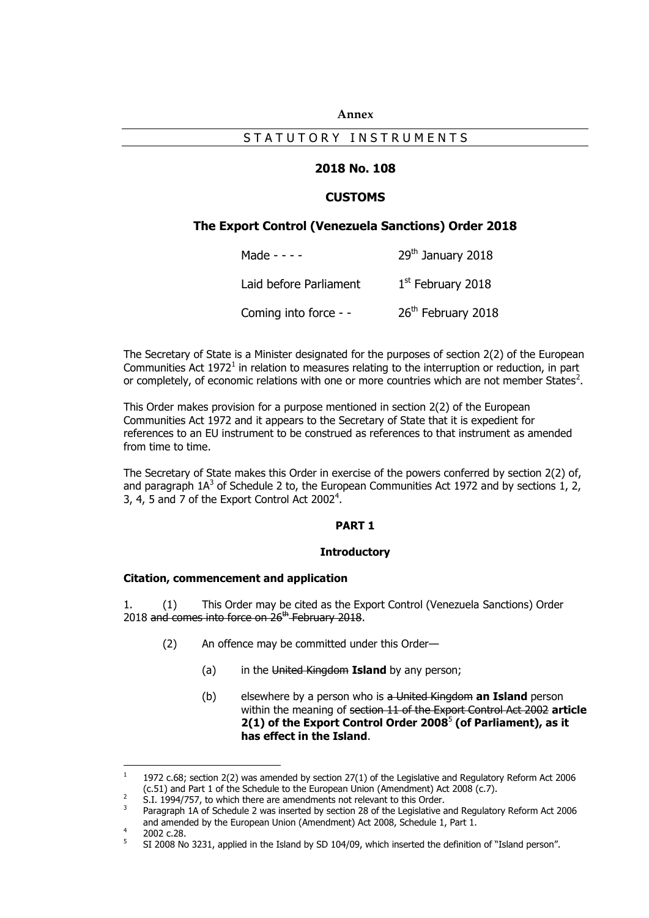#### **Annex**

## STATUTORY INSTRUMENTS

## **2018 No. 108**

## **CUSTOMS**

#### **The Export Control (Venezuela Sanctions) Order 2018**

| Made - - - -           | 29 <sup>th</sup> January 2018  |
|------------------------|--------------------------------|
| Laid before Parliament | $1st$ February 2018            |
| Coming into force - -  | 26 <sup>th</sup> February 2018 |

The Secretary of State is a Minister designated for the purposes of section 2(2) of the European Communities Act 1972<sup>1</sup> in relation to measures relating to the interruption or reduction, in part or completely, of economic relations with one or more countries which are not member States<sup>2</sup>.

This Order makes provision for a purpose mentioned in section 2(2) of the European Communities Act 1972 and it appears to the Secretary of State that it is expedient for references to an EU instrument to be construed as references to that instrument as amended from time to time.

The Secretary of State makes this Order in exercise of the powers conferred by section 2(2) of, and paragraph  $1A^3$  of Schedule 2 to, the European Communities Act 1972 and by sections 1, 2, 3, 4, 5 and 7 of the Export Control Act 2002<sup>4</sup>.

#### **PART 1**

#### **Introductory**

#### **Citation, commencement and application**

1. (1) This Order may be cited as the Export Control (Venezuela Sanctions) Order 2018 and comes into force on 26<sup>th</sup> February 2018.

- (2) An offence may be committed under this Order—
	- (a) in the United Kingdom **Island** by any person;
	- (b) elsewhere by a person who is a United Kingdom **an Island** person within the meaning of section 11 of the Export Control Act 2002 **article 2(1) of the Export Control Order 2008**<sup>5</sup> **(of Parliament), as it has effect in the Island**.

2002 c.28. 5

 $\frac{1}{1}$ 1972 c.68; section 2(2) was amended by section 27(1) of the Legislative and Regulatory Reform Act 2006 (c.51) and Part 1 of the Schedule to the European Union (Amendment) Act 2008 (c.7). 2

S.I. 1994/757, to which there are amendments not relevant to this Order.

<sup>3</sup> Paragraph 1A of Schedule 2 was inserted by section 28 of the Legislative and Regulatory Reform Act 2006 and amended by the European Union (Amendment) Act 2008, Schedule 1, Part 1. 4

SI 2008 No 3231, applied in the Island by SD 104/09, which inserted the definition of "Island person".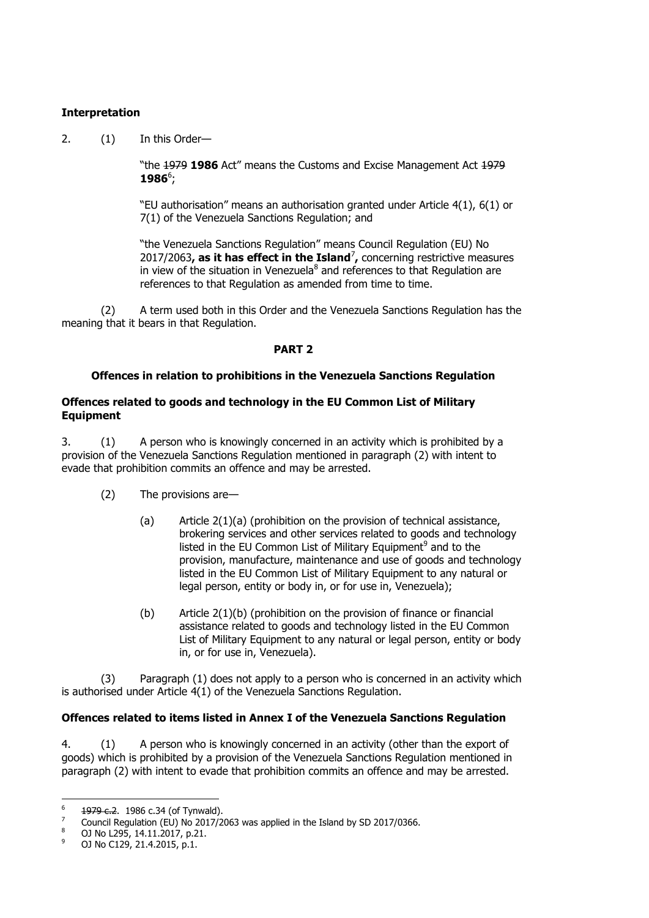## **Interpretation**

2. (1) In this Order—

"the 1979 **1986** Act" means the Customs and Excise Management Act 1979 **1986**<sup>6</sup>;

"EU authorisation" means an authorisation granted under Article 4(1), 6(1) or 7(1) of the Venezuela Sanctions Regulation; and

"the Venezuela Sanctions Regulation" means Council Regulation (EU) No 2017/2063**, as it has effect in the Island**<sup>7</sup> **,** concerning restrictive measures in view of the situation in Venezuela<sup>8</sup> and references to that Regulation are references to that Regulation as amended from time to time.

(2) A term used both in this Order and the Venezuela Sanctions Regulation has the meaning that it bears in that Regulation.

## **PART 2**

## **Offences in relation to prohibitions in the Venezuela Sanctions Regulation**

## **Offences related to goods and technology in the EU Common List of Military Equipment**

3. (1) A person who is knowingly concerned in an activity which is prohibited by a provision of the Venezuela Sanctions Regulation mentioned in paragraph (2) with intent to evade that prohibition commits an offence and may be arrested.

- (2) The provisions are—
	- (a) Article 2(1)(a) (prohibition on the provision of technical assistance, brokering services and other services related to goods and technology listed in the EU Common List of Military Equipment<sup>9</sup> and to the provision, manufacture, maintenance and use of goods and technology listed in the EU Common List of Military Equipment to any natural or legal person, entity or body in, or for use in, Venezuela);
	- (b) Article 2(1)(b) (prohibition on the provision of finance or financial assistance related to goods and technology listed in the EU Common List of Military Equipment to any natural or legal person, entity or body in, or for use in, Venezuela).

(3) Paragraph (1) does not apply to a person who is concerned in an activity which is authorised under Article 4(1) of the Venezuela Sanctions Regulation.

## **Offences related to items listed in Annex I of the Venezuela Sanctions Regulation**

4. (1) A person who is knowingly concerned in an activity (other than the export of goods) which is prohibited by a provision of the Venezuela Sanctions Regulation mentioned in paragraph (2) with intent to evade that prohibition commits an offence and may be arrested.

 $-$ 1979 c.2. 1986 c.34 (of Tynwald).

<sup>7</sup> Council Regulation (EU) No 2017/2063 was applied in the Island by SD 2017/0366.

<sup>8</sup> OJ No L295, 14.11.2017, p.21.

<sup>0</sup>J No C129, 21.4.2015, p.1.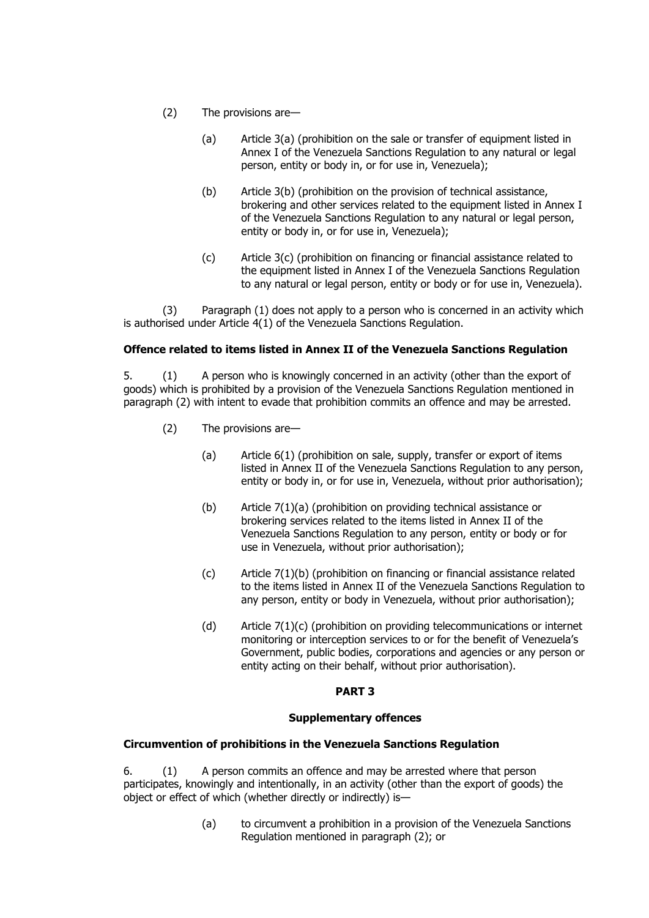- (2) The provisions are—
	- (a) Article 3(a) (prohibition on the sale or transfer of equipment listed in Annex I of the Venezuela Sanctions Regulation to any natural or legal person, entity or body in, or for use in, Venezuela);
	- (b) Article 3(b) (prohibition on the provision of technical assistance, brokering and other services related to the equipment listed in Annex I of the Venezuela Sanctions Regulation to any natural or legal person, entity or body in, or for use in, Venezuela);
	- (c) Article 3(c) (prohibition on financing or financial assistance related to the equipment listed in Annex I of the Venezuela Sanctions Regulation to any natural or legal person, entity or body or for use in, Venezuela).

(3) Paragraph (1) does not apply to a person who is concerned in an activity which is authorised under Article 4(1) of the Venezuela Sanctions Regulation.

## **Offence related to items listed in Annex II of the Venezuela Sanctions Regulation**

5. (1) A person who is knowingly concerned in an activity (other than the export of goods) which is prohibited by a provision of the Venezuela Sanctions Regulation mentioned in paragraph (2) with intent to evade that prohibition commits an offence and may be arrested.

- (2) The provisions are—
	- (a) Article 6(1) (prohibition on sale, supply, transfer or export of items listed in Annex II of the Venezuela Sanctions Regulation to any person, entity or body in, or for use in, Venezuela, without prior authorisation);
	- (b) Article 7(1)(a) (prohibition on providing technical assistance or brokering services related to the items listed in Annex II of the Venezuela Sanctions Regulation to any person, entity or body or for use in Venezuela, without prior authorisation);
	- (c) Article 7(1)(b) (prohibition on financing or financial assistance related to the items listed in Annex II of the Venezuela Sanctions Regulation to any person, entity or body in Venezuela, without prior authorisation);
	- (d) Article 7(1)(c) (prohibition on providing telecommunications or internet monitoring or interception services to or for the benefit of Venezuela's Government, public bodies, corporations and agencies or any person or entity acting on their behalf, without prior authorisation).

## **PART 3**

## **Supplementary offences**

## **Circumvention of prohibitions in the Venezuela Sanctions Regulation**

6. (1) A person commits an offence and may be arrested where that person participates, knowingly and intentionally, in an activity (other than the export of goods) the object or effect of which (whether directly or indirectly) is—

> (a) to circumvent a prohibition in a provision of the Venezuela Sanctions Regulation mentioned in paragraph (2); or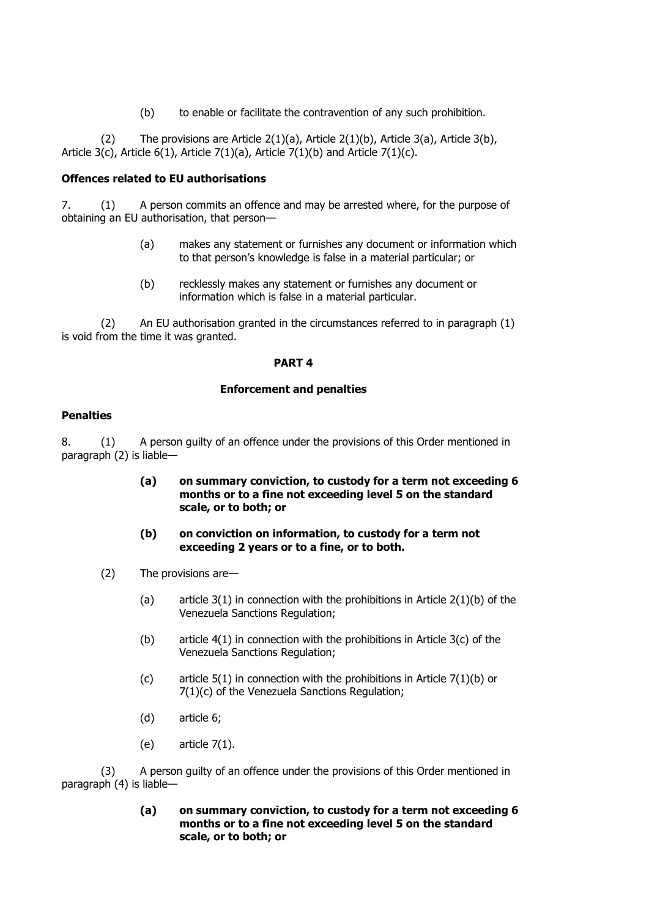(b) to enable or facilitate the contravention of any such prohibition.

(2) The provisions are Article  $2(1)(a)$ , Article  $2(1)(b)$ , Article  $3(a)$ , Article  $3(b)$ , Article 3(c), Article 6(1), Article 7(1)(a), Article 7(1)(b) and Article 7(1)(c).

## **Offences related to EU authorisations**

7. (1) A person commits an offence and may be arrested where, for the purpose of obtaining an EU authorisation, that person—

- (a) makes any statement or furnishes any document or information which to that person's knowledge is false in a material particular; or
- (b) recklessly makes any statement or furnishes any document or information which is false in a material particular.

(2) An EU authorisation granted in the circumstances referred to in paragraph (1) is void from the time it was granted.

## **PART 4**

## **Enforcement and penalties**

## **Penalties**

8. (1) A person guilty of an offence under the provisions of this Order mentioned in paragraph (2) is liable—

- **(a) on summary conviction, to custody for a term not exceeding 6 months or to a fine not exceeding level 5 on the standard scale, or to both; or**
- **(b) on conviction on information, to custody for a term not exceeding 2 years or to a fine, or to both.**
- (2) The provisions are—
	- (a) article  $3(1)$  in connection with the prohibitions in Article  $2(1)(b)$  of the Venezuela Sanctions Regulation;
	- (b) article  $4(1)$  in connection with the prohibitions in Article  $3(c)$  of the Venezuela Sanctions Regulation;
	- (c) article  $5(1)$  in connection with the prohibitions in Article  $7(1)(b)$  or 7(1)(c) of the Venezuela Sanctions Regulation;
	- (d) article 6;
	- (e) article 7(1).

(3) A person guilty of an offence under the provisions of this Order mentioned in paragraph (4) is liable—

## **(a) on summary conviction, to custody for a term not exceeding 6 months or to a fine not exceeding level 5 on the standard scale, or to both; or**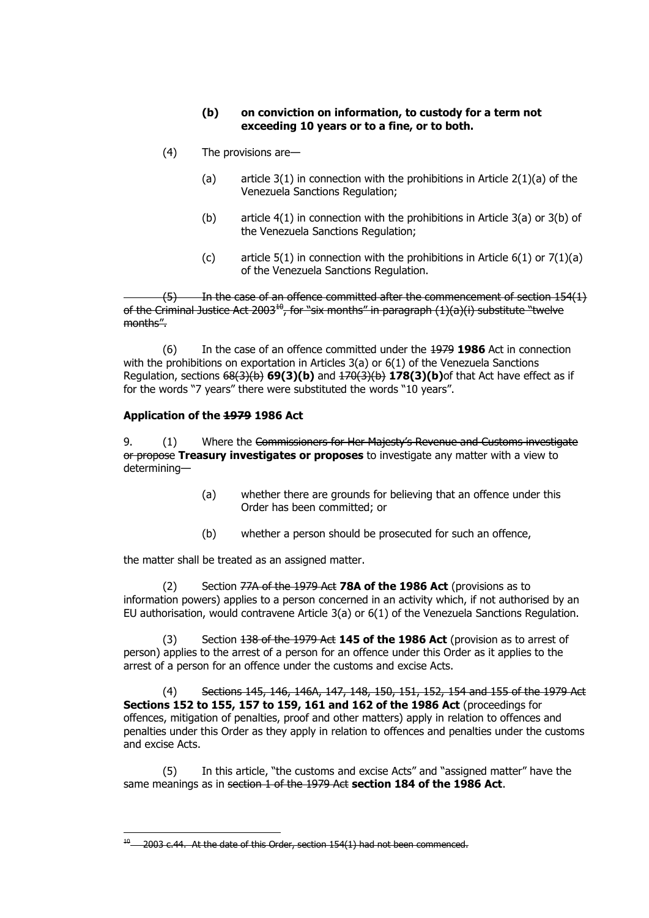## **(b) on conviction on information, to custody for a term not exceeding 10 years or to a fine, or to both.**

- (4) The provisions are—
	- (a) article  $3(1)$  in connection with the prohibitions in Article  $2(1)(a)$  of the Venezuela Sanctions Regulation;
	- (b) article 4(1) in connection with the prohibitions in Article 3(a) or 3(b) of the Venezuela Sanctions Regulation;
	- (c) article  $5(1)$  in connection with the prohibitions in Article  $6(1)$  or  $7(1)(a)$ of the Venezuela Sanctions Regulation.

 $(5)$  In the case of an offence committed after the commencement of section 154(1) of the Criminal Justice Act  $2003^{10}$ , for "six months" in paragraph (1)(a)(i) substitute "twelve months".

(6) In the case of an offence committed under the 1979 **1986** Act in connection with the prohibitions on exportation in Articles 3(a) or 6(1) of the Venezuela Sanctions Regulation, sections 68(3)(b) **69(3)(b)** and 170(3)(b) **178(3)(b)**of that Act have effect as if for the words "7 years" there were substituted the words "10 years".

## **Application of the 1979 1986 Act**

 $\overline{a}$ 

9. (1) Where the Commissioners for Her Majesty's Revenue and Customs investigate or propose **Treasury investigates or proposes** to investigate any matter with a view to determining—

- (a) whether there are grounds for believing that an offence under this Order has been committed; or
- (b) whether a person should be prosecuted for such an offence,

the matter shall be treated as an assigned matter.

(2) Section 77A of the 1979 Act **78A of the 1986 Act** (provisions as to information powers) applies to a person concerned in an activity which, if not authorised by an EU authorisation, would contravene Article 3(a) or 6(1) of the Venezuela Sanctions Regulation.

(3) Section 138 of the 1979 Act **145 of the 1986 Act** (provision as to arrest of person) applies to the arrest of a person for an offence under this Order as it applies to the arrest of a person for an offence under the customs and excise Acts.

(4) Sections 145, 146, 146A, 147, 148, 150, 151, 152, 154 and 155 of the 1979 Act **Sections 152 to 155, 157 to 159, 161 and 162 of the 1986 Act** (proceedings for offences, mitigation of penalties, proof and other matters) apply in relation to offences and penalties under this Order as they apply in relation to offences and penalties under the customs and excise Acts.

(5) In this article, "the customs and excise Acts" and "assigned matter" have the same meanings as in section 1 of the 1979 Act **section 184 of the 1986 Act**.

<sup>2003</sup> c.44. At the date of this Order, section 154(1) had not been commenced.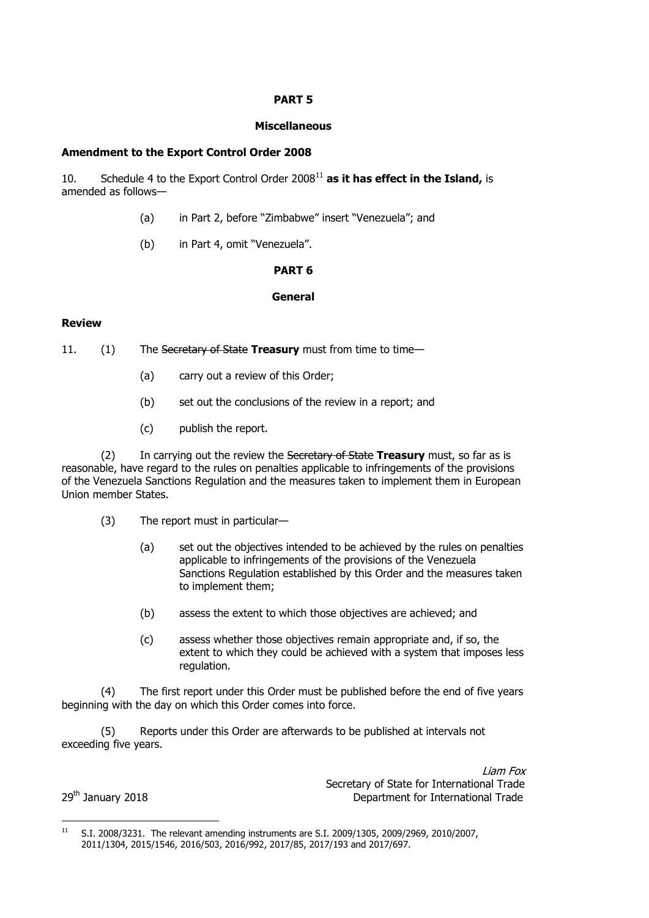## **PART 5**

#### **Miscellaneous**

#### **Amendment to the Export Control Order 2008**

10. Schedule 4 to the Export Control Order 2008<sup>11</sup> **as it has effect in the Island,** is amended as follows—

- (a) in Part 2, before "Zimbabwe" insert "Venezuela"; and
- (b) in Part 4, omit "Venezuela".

#### **PART 6**

#### **General**

#### **Review**

- 11. (1) The Secretary of State **Treasury** must from time to time—
	- (a) carry out a review of this Order;
	- (b) set out the conclusions of the review in a report; and
	- (c) publish the report.

(2) In carrying out the review the Secretary of State **Treasury** must, so far as is reasonable, have regard to the rules on penalties applicable to infringements of the provisions of the Venezuela Sanctions Regulation and the measures taken to implement them in European Union member States.

- (3) The report must in particular—
	- (a) set out the objectives intended to be achieved by the rules on penalties applicable to infringements of the provisions of the Venezuela Sanctions Regulation established by this Order and the measures taken to implement them;
	- (b) assess the extent to which those objectives are achieved; and
	- (c) assess whether those objectives remain appropriate and, if so, the extent to which they could be achieved with a system that imposes less regulation.

(4) The first report under this Order must be published before the end of five years beginning with the day on which this Order comes into force.

(5) Reports under this Order are afterwards to be published at intervals not exceeding five years.

Liam Fox Secretary of State for International Trade 29<sup>th</sup> January 2018 2018 2018 2018 Department for International Trade

 $11$ <sup>11</sup> S.I. 2008/3231. The relevant amending instruments are S.I. 2009/1305, 2009/2969, 2010/2007, 2011/1304, 2015/1546, 2016/503, 2016/992, 2017/85, 2017/193 and 2017/697.